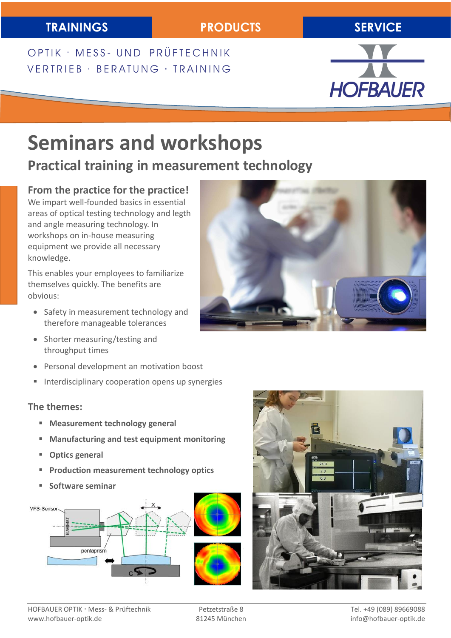## **TRAININGS PRODUCTS SERVICE**

OPTIK · MESS- UND PRÜFTECHNIK VERTRIEB · BERATUNG · TRAINING



# **Seminars and workshops**

# **Practical training in measurement technology**

#### **From the practice for the practice!**

We impart well-founded basics in essential areas of optical testing technology and legth and angle measuring technology. In workshops on in-house measuring equipment we provide all necessary knowledge.

This enables your employees to familiarize themselves quickly. The benefits are obvious:

- Safety in measurement technology and therefore manageable tolerances
- Shorter measuring/testing and throughput times
- Personal development an motivation boost
- **Interdisciplinary cooperation opens up synergies**

#### **The themes:**

- **Measurement technology general**
- **Manufacturing and test equipment monitoring**
- **Optics general**
- **Production measurement technology optics**
- **Software seminar**